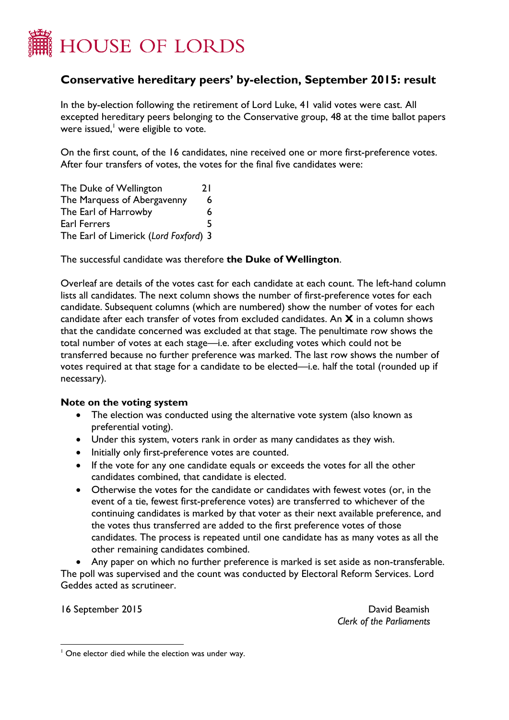

## **Conservative hereditary peers' by-election, September 2015: result**

In the by-election following the retirement of Lord Luke, 41 valid votes were cast. All excepted hereditary peers belonging to the Conservative group, 48 at the time ballot papers were issued, <sup>1</sup> were eligible to vote.

On the first count, of the 16 candidates, nine received one or more first-preference votes. After four transfers of votes, the votes for the final five candidates were:

| The Duke of Wellington                | 21 |
|---------------------------------------|----|
| The Marquess of Abergavenny           | 6  |
| The Earl of Harrowby                  | 6. |
| Earl Ferrers                          | 5  |
| The Earl of Limerick (Lord Foxford) 3 |    |

The successful candidate was therefore **the Duke of Wellington**.

Overleaf are details of the votes cast for each candidate at each count. The left-hand column lists all candidates. The next column shows the number of first-preference votes for each candidate. Subsequent columns (which are numbered) show the number of votes for each candidate after each transfer of votes from excluded candidates. An **X** in a column shows that the candidate concerned was excluded at that stage. The penultimate row shows the total number of votes at each stage—i.e. after excluding votes which could not be transferred because no further preference was marked. The last row shows the number of votes required at that stage for a candidate to be elected—i.e. half the total (rounded up if necessary).

## **Note on the voting system**

- The election was conducted using the alternative vote system (also known as preferential voting).
- Under this system, voters rank in order as many candidates as they wish.
- Initially only first-preference votes are counted.
- If the vote for any one candidate equals or exceeds the votes for all the other candidates combined, that candidate is elected.
- Otherwise the votes for the candidate or candidates with fewest votes (or, in the event of a tie, fewest first-preference votes) are transferred to whichever of the continuing candidates is marked by that voter as their next available preference, and the votes thus transferred are added to the first preference votes of those candidates. The process is repeated until one candidate has as many votes as all the other remaining candidates combined.

 Any paper on which no further preference is marked is set aside as non-transferable. The poll was supervised and the count was conducted by Electoral Reform Services. Lord Geddes acted as scrutineer.

16 September 2015 **David Beamish** *Clerk of the Parliaments*

 $\overline{a}$ <sup>1</sup> One elector died while the election was under way.